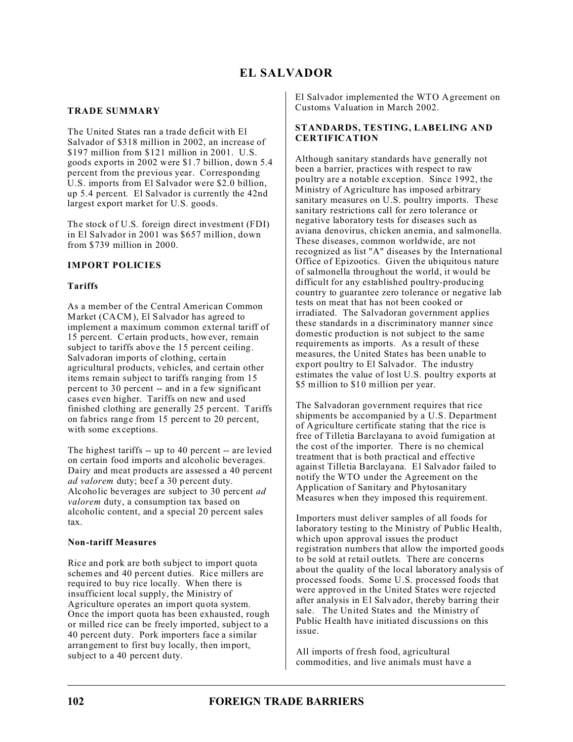# **TRADE SUMMARY**

The United States ran a trade deficit with El Salvador of \$318 million in 2002, an increase of \$197 million from \$121 million in 2001. U.S. goods exports in 2002 were \$1.7 billion, down 5.4 percent from the previous year. Corresponding U.S. imports from El Salvador were \$2.0 billion, up 5.4 percent. El Salvador is currently the 42nd largest export market for U.S. goods.

The stock of U.S. foreign direct investment (FDI) in El Salvador in 2001 was \$657 million, down from \$739 million in 2000.

## **IMPORT POLICIES**

## **Tariffs**

As a member of the Central American Common Market (CACM), El Salvador has agreed to implement a maximum common external tariff of 15 percent. Certain products, however, remain subject to tariffs above the 15 percent ceiling. Salvadoran imports of clothing, certain agricultural products, vehicles, and certain other items remain subject to tariffs ranging from 15 percent to 30 percent -- and in a few significant cases even higher. Tariffs on new and used finished clothing are generally 25 percent. Tariffs on fabrics range from 15 percent to 20 percent, with some exceptions.

The highest tariffs -- up to 40 percent -- are levied on certain food imports and alcoholic beverages. Dairy and meat products are assessed a 40 percent *ad valorem* duty; beef a 30 percent duty. Alcoholic beverages are subject to 30 percent *ad valorem* duty, a consumption tax based on alcoholic content, and a special 20 percent sales tax.

### **Non-tariff Measures**

Rice and pork are both subject to import quota schemes and 40 percent duties. Rice millers are required to buy rice locally. When there is insufficient local supply, the Ministry of Agriculture operates an import quota system. Once the import quota has been exhausted, rough or milled rice can be freely imported, subject to a 40 percent duty. Pork importers face a similar arrangement to first buy locally, then import, subject to a 40 percent duty.

El Salvador implemented the WTO Agreement on Customs Valuation in March 2002.

### **STANDARDS, TESTING, LABELING AND CERTIFICATION**

Although sanitary standards have generally not been a barrier, practices with respect to raw poultry are a notable exception. Since 1992, the Ministry of Agriculture has imposed arbitrary sanitary measures on U.S. poultry imports. These sanitary restrictions call for zero tolerance or negative laboratory tests for diseases such as aviana denovirus, chicken anemia, and salmonella. These diseases, common worldwide, are not recognized as list "A" diseases by the International Office of Epizootics. Given the ubiquitous nature of salmonella throughout the world, it would be difficult for any established poultry-producing country to guarantee zero tolerance or negative lab tests on meat that has not been cooked or irradiated. The Salvadoran government applies these standards in a discriminatory manner since domestic production is not subject to the same requirements as imports. As a result of these measures, the United States has been unable to export poultry to El Salvador. The industry estimates the value of lost U.S. poultry exports at \$5 million to \$10 million per year.

The Salvadoran government requires that rice shipments be accompanied by a U.S. Department of Agriculture certificate stating that the rice is free of Tilletia Barclayana to avoid fumigation at the cost of the importer. There is no chemical treatment that is both practical and effective against Tilletia Barclayana. El Salvador failed to notify the WTO under the Agreement on the Application of Sanitary and Phytosanitary Measures when they imposed this requirement.

Importers must deliver samples of all foods for laboratory testing to the Ministry of Public Health, which upon approval issues the product registration numbers that allow the imported goods to be sold at retail outlets. There are concerns about the quality of the local laboratory analysis of processed foods. Some U.S. processed foods that were approved in the United States were rejected after analysis in El Salvador, thereby barring their sale. The United States and the Ministry of Public Health have initiated discussions on this issue.

All imports of fresh food, agricultural commodities, and live animals must have a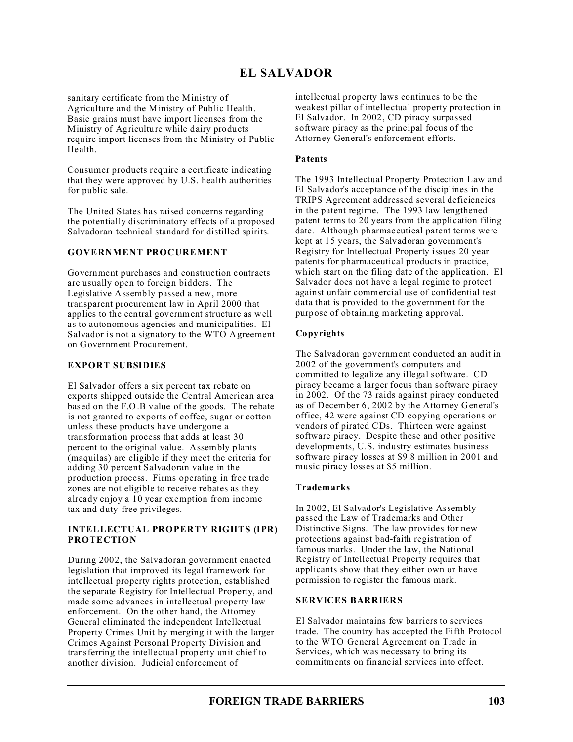# **EL SALVADOR**

sanitary certificate from the Ministry of Agriculture and the Ministry of Public Health. Basic grains must have import licenses from the Ministry of Agriculture while dairy products require import licenses from the Ministry of Public Health.

Consumer products require a certificate indicating that they were approved by U.S. health authorities for public sale.

The United States has raised concerns regarding the potentially discriminatory effects of a proposed Salvadoran technical standard for distilled spirits.

### **GOVERNMENT PROCUREMENT**

Government purchases and construction contracts are usually open to foreign bidders. The Legislative Assembly passed a new, more transparent procurement law in April 2000 that applies to the central government structure as well as to autonomous agencies and municipalities. El Salvador is not a signatory to the WTO Agreement on Government Procurement.

### **EXPORT SUBSIDIES**

El Salvador offers a six percent tax rebate on exports shipped outside the Central American area based on the F.O.B value of the goods. The rebate is not granted to exports of coffee, sugar or cotton unless these products have undergone a transformation process that adds at least 30 percent to the original value. Assembly plants (maquilas) are eligible if they meet the criteria for adding 30 percent Salvadoran value in the production process. Firms operating in free trade zones are not eligible to receive rebates as they already enjoy a 10 year exemption from income tax and duty-free privileges.

#### **INTELLECTUAL PROPERTY RIGHTS (IPR) PROTECTION**

During 2002, the Salvadoran government enacted legislation that improved its legal framework for intellectual property rights protection, established the separate Registry for Intellectual Property, and made some advances in intellectual property law enforcement. On the other hand, the Attorney General eliminated the independent Intellectual Property Crimes Unit by merging it with the larger Crimes Against Personal Property Division and transferring the intellectual property unit chief to another division. Judicial enforcement of

intellectual property laws continues to be the weakest pillar of intellectual property protection in El Salvador. In 2002, CD piracy surpassed software piracy as the principal focus of the Attorney General's enforcement efforts.

### **Patents**

The 1993 Intellectual Property Protection Law and El Salvador's acceptance of the disciplines in the TRIPS Agreement addressed several deficiencies in the patent regime. The 1993 law lengthened patent terms to 20 years from the application filing date. Although pharmaceutical patent terms were kept at 15 years, the Salvadoran government's Registry for Intellectual Property issues 20 year patents for pharmaceutical products in practice, which start on the filing date of the application. El Salvador does not have a legal regime to protect against unfair commercial use of confidential test data that is provided to the government for the purpose of obtaining marketing approval.

## **Copyrights**

The Salvadoran government conducted an audit in 2002 of the government's computers and committed to legalize any illegal software. CD piracy became a larger focus than software piracy in 2002. Of the 73 raids against piracy conducted as of December 6, 2002 by the Attorney General's office, 42 were against CD copying operations or vendors of pirated CDs. Thirteen were against software piracy. Despite these and other positive developments, U.S. industry estimates business software piracy losses at \$9.8 million in 2001 and music piracy losses at \$5 million.

### **Trademarks**

In 2002, El Salvador's Legislative Assembly passed the Law of Trademarks and Other Distinctive Signs. The law provides for new protections against bad-faith registration of famous marks. Under the law, the National Registry of Intellectual Property requires that applicants show that they either own or have permission to register the famous mark.

### **SERVICES BARRIERS**

El Salvador maintains few barriers to services trade. The country has accepted the Fifth Protocol to the WTO General Agreement on Trade in Services, which was necessary to bring its commitments on financial services into effect.